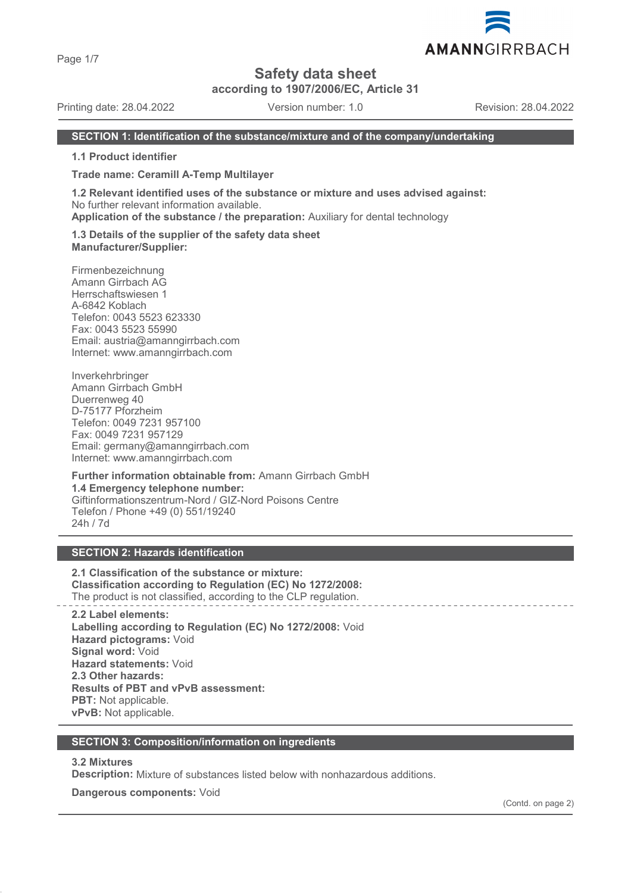Page 1/7

# **Safety data sheet**

**according to 1907/2006/EC, Article 31**

Printing date: 28.04.2022 Version number: 1.0 Revision: 28.04.2022

#### **SECTION 1: Identification of the substance/mixture and of the company/undertaking**

**1.1 Product identifier**

**Trade name: Ceramill A-Temp Multilayer**

**1.2 Relevant identified uses of the substance or mixture and uses advised against:** No further relevant information available.

**Application of the substance / the preparation:** Auxiliary for dental technology

**1.3 Details of the supplier of the safety data sheet Manufacturer/Supplier:**

Firmenbezeichnung Amann Girrbach AG Herrschaftswiesen 1 A-6842 Koblach Telefon: 0043 5523 623330 Fax: 0043 5523 55990 Email: austria@amanngirrbach.com Internet: www.amanngirrbach.com

Inverkehrbringer Amann Girrbach GmbH Duerrenweg 40 D-75177 Pforzheim Telefon: 0049 7231 957100 Fax: 0049 7231 957129 Email: germany@amanngirrbach.com Internet: www.amanngirrbach.com

**Further information obtainable from:** Amann Girrbach GmbH **1.4 Emergency telephone number:** Giftinformationszentrum-Nord / GIZ-Nord Poisons Centre Telefon / Phone +49 (0) 551/19240 24h / 7d

# **SECTION 2: Hazards identification**

**2.1 Classification of the substance or mixture: Classification according to Regulation (EC) No 1272/2008:** The product is not classified, according to the CLP regulation.

**2.2 Label elements: Labelling according to Regulation (EC) No 1272/2008:** Void **Hazard pictograms:** Void **Signal word:** Void **Hazard statements:** Void **2.3 Other hazards: Results of PBT and vPvB assessment: PBT:** Not applicable. **vPvB:** Not applicable.

#### **SECTION 3: Composition/information on ingredients**

#### **3.2 Mixtures**

**Description:** Mixture of substances listed below with nonhazardous additions.

**Dangerous components:** Void

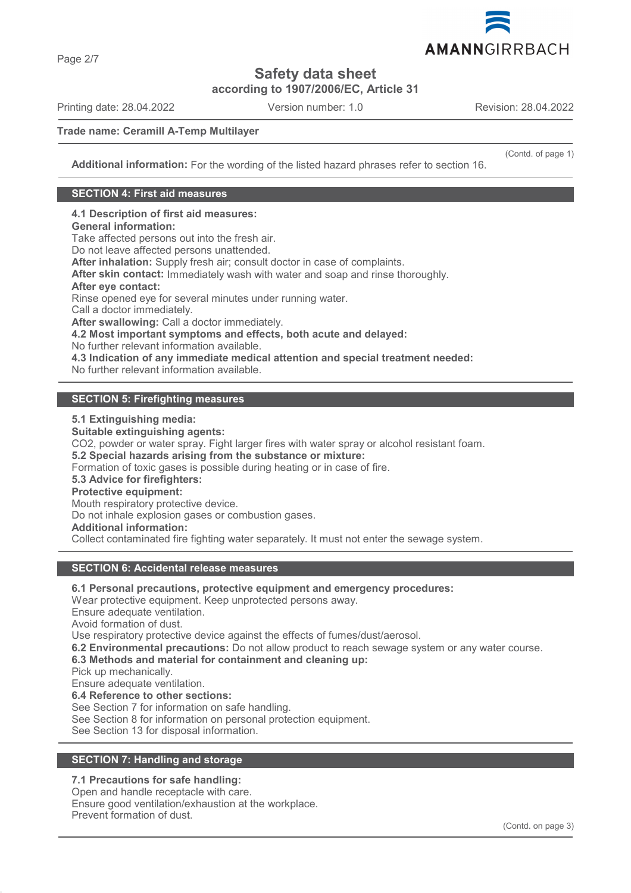

**Safety data sheet**

**according to 1907/2006/EC, Article 31**

Printing date: 28.04.2022 Version number: 1.0 Revision: 28.04.2022

(Contd. of page 1)

# **Trade name: Ceramill A-Temp Multilayer**

**Additional information:** For the wording of the listed hazard phrases refer to section 16.

### **SECTION 4: First aid measures**

**4.1 Description of first aid measures:**

# **General information:**

Take affected persons out into the fresh air.

Do not leave affected persons unattended.

**After inhalation:** Supply fresh air; consult doctor in case of complaints.

**After skin contact:** Immediately wash with water and soap and rinse thoroughly.

#### **After eye contact:**

Rinse opened eye for several minutes under running water.

Call a doctor immediately.

**After swallowing:** Call a doctor immediately.

**4.2 Most important symptoms and effects, both acute and delayed:**

No further relevant information available.

**4.3 Indication of any immediate medical attention and special treatment needed:**

No further relevant information available.

# **SECTION 5: Firefighting measures**

**5.1 Extinguishing media:**

**Suitable extinguishing agents:** CO2, powder or water spray. Fight larger fires with water spray or alcohol resistant foam. **5.2 Special hazards arising from the substance or mixture:** Formation of toxic gases is possible during heating or in case of fire. **5.3 Advice for firefighters: Protective equipment:** Mouth respiratory protective device. Do not inhale explosion gases or combustion gases. **Additional information:** Collect contaminated fire fighting water separately. It must not enter the sewage system.

#### **SECTION 6: Accidental release measures**

**6.1 Personal precautions, protective equipment and emergency procedures:**

Wear protective equipment. Keep unprotected persons away.

Ensure adequate ventilation. Avoid formation of dust.

Use respiratory protective device against the effects of fumes/dust/aerosol.

**6.2 Environmental precautions:** Do not allow product to reach sewage system or any water course.

# **6.3 Methods and material for containment and cleaning up:**

Pick up mechanically.

Ensure adequate ventilation.

**6.4 Reference to other sections:**

See Section 7 for information on safe handling.

See Section 8 for information on personal protection equipment.

See Section 13 for disposal information.

# **SECTION 7: Handling and storage**

# **7.1 Precautions for safe handling:**

Open and handle receptacle with care. Ensure good ventilation/exhaustion at the workplace. Prevent formation of dust.

Page 2/7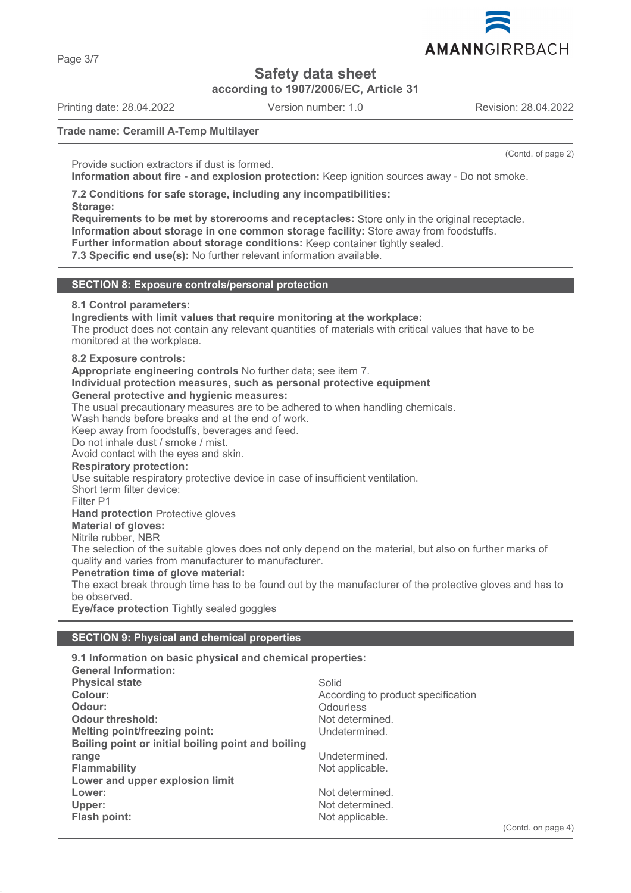AMANNGIRRBACH

**Safety data sheet**

**according to 1907/2006/EC, Article 31**

Printing date: 28.04.2022 Version number: 1.0 Revision: 28.04.2022

(Contd. of page 2)

### **Trade name: Ceramill A-Temp Multilayer**

Provide suction extractors if dust is formed.

**Information about fire - and explosion protection:** Keep ignition sources away - Do not smoke.

**7.2 Conditions for safe storage, including any incompatibilities: Storage:**

**Requirements to be met by storerooms and receptacles:** Store only in the original receptacle. **Information about storage in one common storage facility:** Store away from foodstuffs. **Further information about storage conditions:** Keep container tightly sealed.

**7.3 Specific end use(s):** No further relevant information available.

#### **SECTION 8: Exposure controls/personal protection**

#### **8.1 Control parameters:**

**Ingredients with limit values that require monitoring at the workplace:**

The product does not contain any relevant quantities of materials with critical values that have to be monitored at the workplace.

#### **8.2 Exposure controls:**

**Appropriate engineering controls** No further data; see item 7.

#### **Individual protection measures, such as personal protective equipment General protective and hygienic measures:**

The usual precautionary measures are to be adhered to when handling chemicals.

Wash hands before breaks and at the end of work.

Keep away from foodstuffs, beverages and feed.

Do not inhale dust / smoke / mist.

Avoid contact with the eyes and skin.

#### **Respiratory protection:**

Use suitable respiratory protective device in case of insufficient ventilation.

Short term filter device:

Filter P1

**Hand protection** Protective gloves

# **Material of gloves:**

Nitrile rubber, NBR

The selection of the suitable gloves does not only depend on the material, but also on further marks of quality and varies from manufacturer to manufacturer.

#### **Penetration time of glove material:**

The exact break through time has to be found out by the manufacturer of the protective gloves and has to be observed.

**Eye/face protection** Tightly sealed goggles

#### **SECTION 9: Physical and chemical properties**

| 9.1 Information on basic physical and chemical properties: |                                    |
|------------------------------------------------------------|------------------------------------|
| <b>General Information:</b>                                |                                    |
| <b>Physical state</b>                                      | Solid                              |
| Colour:                                                    | According to product specification |
| Odour:                                                     | Odourless                          |
| <b>Odour threshold:</b>                                    | Not determined.                    |
| <b>Melting point/freezing point:</b>                       | Undetermined.                      |
| Boiling point or initial boiling point and boiling         |                                    |
| range                                                      | Undetermined.                      |
| <b>Flammability</b>                                        | Not applicable.                    |
| Lower and upper explosion limit                            |                                    |
| Lower:                                                     | Not determined.                    |
| Upper:                                                     | Not determined.                    |
| Flash point:                                               | Not applicable.                    |
|                                                            |                                    |



Page 3/7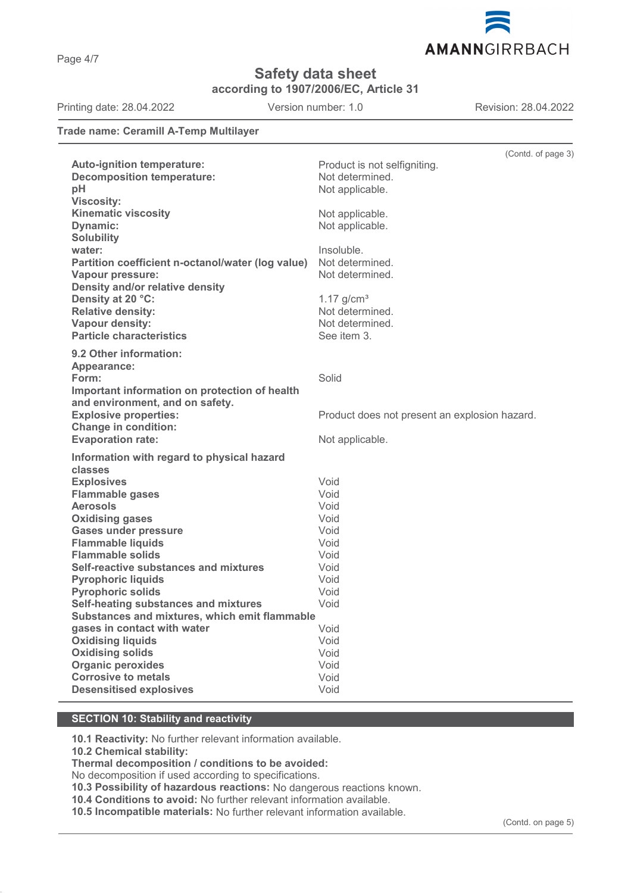AMANNGIRRBACH

**Safety data sheet**

**according to 1907/2006/EC, Article 31**

Printing date: 28.04.2022 Version number: 1.0 Revision: 28.04.2022

#### **Trade name: Ceramill A-Temp Multilayer**

|                                                   |                                               | (Contd. of page 3) |
|---------------------------------------------------|-----------------------------------------------|--------------------|
| Auto-ignition temperature:                        | Product is not selfigniting.                  |                    |
| <b>Decomposition temperature:</b>                 | Not determined.                               |                    |
| pH                                                | Not applicable.                               |                    |
| <b>Viscosity:</b>                                 |                                               |                    |
| <b>Kinematic viscosity</b>                        | Not applicable.                               |                    |
| <b>Dynamic:</b>                                   | Not applicable.                               |                    |
| <b>Solubility</b>                                 |                                               |                    |
| water:                                            | Insoluble.                                    |                    |
| Partition coefficient n-octanol/water (log value) | Not determined.                               |                    |
| Vapour pressure:                                  | Not determined.                               |                    |
| Density and/or relative density                   |                                               |                    |
| Density at 20 °C:                                 | $1.17$ g/cm <sup>3</sup>                      |                    |
| <b>Relative density:</b>                          | Not determined.                               |                    |
| Vapour density:                                   | Not determined.                               |                    |
| <b>Particle characteristics</b>                   | See item 3.                                   |                    |
| 9.2 Other information:                            |                                               |                    |
| Appearance:                                       |                                               |                    |
| Form:                                             | Solid                                         |                    |
| Important information on protection of health     |                                               |                    |
| and environment, and on safety.                   |                                               |                    |
| <b>Explosive properties:</b>                      | Product does not present an explosion hazard. |                    |
| <b>Change in condition:</b>                       |                                               |                    |
| <b>Evaporation rate:</b>                          | Not applicable.                               |                    |
| Information with regard to physical hazard        |                                               |                    |
| classes                                           |                                               |                    |
| <b>Explosives</b>                                 | Void                                          |                    |
| <b>Flammable gases</b>                            | Void                                          |                    |
| <b>Aerosols</b>                                   | Void                                          |                    |
| <b>Oxidising gases</b>                            | Void                                          |                    |
| <b>Gases under pressure</b>                       | Void                                          |                    |
| <b>Flammable liquids</b>                          | Void                                          |                    |
| <b>Flammable solids</b>                           | Void                                          |                    |
| Self-reactive substances and mixtures             | Void                                          |                    |
| <b>Pyrophoric liquids</b>                         | Void                                          |                    |
| <b>Pyrophoric solids</b>                          | Void                                          |                    |
| Self-heating substances and mixtures              | Void                                          |                    |
| Substances and mixtures, which emit flammable     |                                               |                    |
| gases in contact with water                       | Void                                          |                    |
| <b>Oxidising liquids</b>                          | Void                                          |                    |
| <b>Oxidising solids</b>                           | Void                                          |                    |
| <b>Organic peroxides</b>                          | Void                                          |                    |
| <b>Corrosive to metals</b>                        | Void                                          |                    |
| <b>Desensitised explosives</b>                    | Void                                          |                    |

# **SECTION 10: Stability and reactivity**

**10.1 Reactivity:** No further relevant information available.

**10.2 Chemical stability:**

**Thermal decomposition / conditions to be avoided:**

No decomposition if used according to specifications.

**10.3 Possibility of hazardous reactions:** No dangerous reactions known.

**10.4 Conditions to avoid:** No further relevant information available.

**10.5 Incompatible materials:** No further relevant information available.

Page 4/7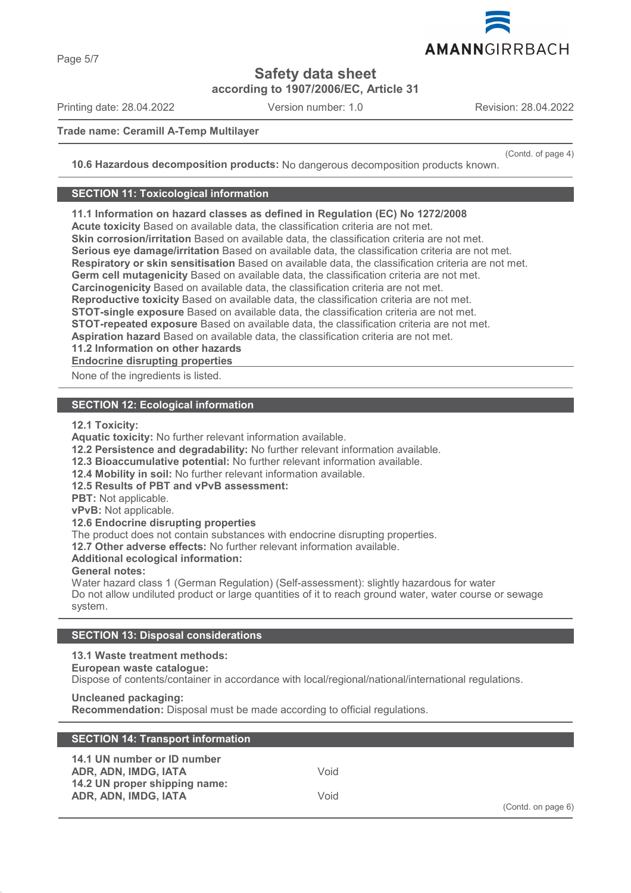**Safety data sheet**

**according to 1907/2006/EC, Article 31**

Printing date: 28.04.2022 Version number: 1.0 Revision: 28.04.2022

### **Trade name: Ceramill A-Temp Multilayer**

(Contd. of page 4)

**10.6 Hazardous decomposition products:** No dangerous decomposition products known.

### **SECTION 11: Toxicological information**

**11.1 Information on hazard classes as defined in Regulation (EC) No 1272/2008**

**Acute toxicity** Based on available data, the classification criteria are not met.

**Skin corrosion/irritation** Based on available data, the classification criteria are not met.

**Serious eye damage/irritation** Based on available data, the classification criteria are not met.

**Respiratory or skin sensitisation** Based on available data, the classification criteria are not met.

**Germ cell mutagenicity** Based on available data, the classification criteria are not met.

**Carcinogenicity** Based on available data, the classification criteria are not met.

**Reproductive toxicity** Based on available data, the classification criteria are not met.

**STOT-single exposure** Based on available data, the classification criteria are not met.

**STOT-repeated exposure** Based on available data, the classification criteria are not met.

**Aspiration hazard** Based on available data, the classification criteria are not met.

**11.2 Information on other hazards**

**Endocrine disrupting properties** 

None of the ingredients is listed.

# **SECTION 12: Ecological information**

**12.1 Toxicity:**

**Aquatic toxicity:** No further relevant information available.

**12.2 Persistence and degradability:** No further relevant information available.

**12.3 Bioaccumulative potential:** No further relevant information available.

**12.4 Mobility in soil:** No further relevant information available.

**12.5 Results of PBT and vPvB assessment:**

**PBT:** Not applicable.

**vPvB:** Not applicable.

**12.6 Endocrine disrupting properties**

The product does not contain substances with endocrine disrupting properties.

**12.7 Other adverse effects:** No further relevant information available.

**Additional ecological information:**

**General notes:**

Water hazard class 1 (German Regulation) (Self-assessment): slightly hazardous for water Do not allow undiluted product or large quantities of it to reach ground water, water course or sewage system.

# **SECTION 13: Disposal considerations**

# **13.1 Waste treatment methods:**

### **European waste catalogue:**

Dispose of contents/container in accordance with local/regional/national/international regulations.

# **Uncleaned packaging:**

**Recommendation:** Disposal must be made according to official regulations.

| <b>SECTION 14: Transport information</b>                                             |      |                        |
|--------------------------------------------------------------------------------------|------|------------------------|
| 14.1 UN number or ID number<br>ADR. ADN. IMDG. IATA<br>14.2 UN proper shipping name: | Void |                        |
| ADR, ADN, IMDG, IATA                                                                 | Void | $(Contd.$ on page $6)$ |

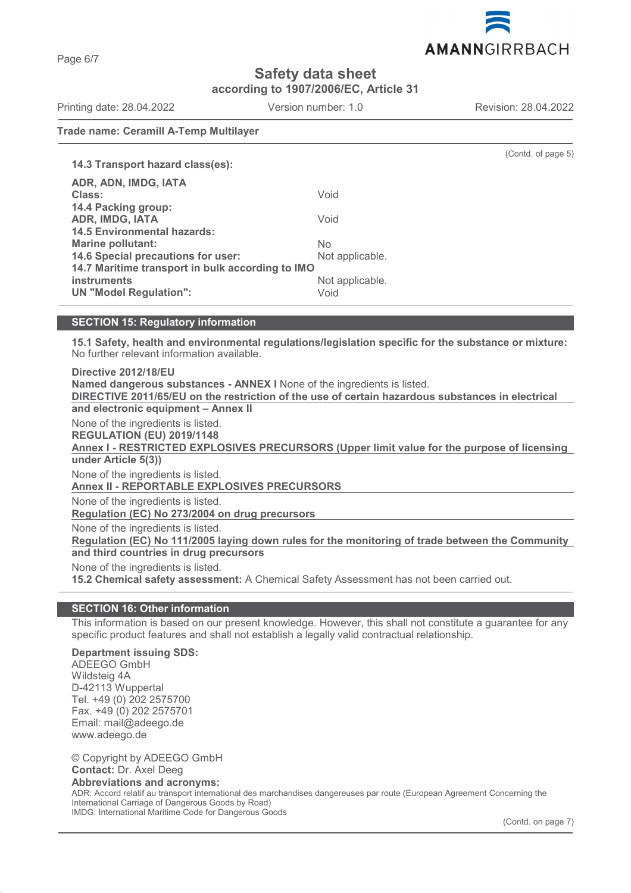AMANNGIRRBACH

**Safety data sheet**

**according to 1907/2006/EC, Article 31**

Printing date: 28.04.2022 Version number: 1.0 Revision: 28.04.2022

(Contd. of page 5)

**Trade name: Ceramill A-Temp Multilayer**

**14.3 Transport hazard class(es): ADR, ADN, IMDG, IATA Class:** Void **14.4 Packing group: ADR, IMDG, IATA** Void **14.5 Environmental hazards: Marine pollutant:** No **14.6 Special precautions for user:** Not applicable. **14.7 Maritime transport in bulk according to IMO instruments** Not applicable. **UN "Model Regulation":** Void

**15.1 Safety, health and environmental regulations/legislation specific for the substance or mixture:** No further relevant information available.

**Directive 2012/18/EU Named dangerous substances - ANNEX I** None of the ingredients is listed. **DIRECTIVE 2011/65/EU on the restriction of the use of certain hazardous substances in electrical and electronic equipment – Annex II** None of the ingredients is listed. **REGULATION (EU) 2019/1148** Annex I - RESTRICTED EXPLOSIVES PRECURSORS (Upper limit value for the purpose of licensing **under Article 5(3))** None of the ingredients is listed. **Annex II - REPORTABLE EXPLOSIVES PRECURSORS**  None of the ingredients is listed. **Regulation (EC) No 273/2004 on drug precursors**  None of the ingredients is listed. Regulation (EC) No 111/2005 laying down rules for the monitoring of trade between the Community **and third countries in drug precursors** None of the ingredients is listed. **15.2 Chemical safety assessment:** A Chemical Safety Assessment has not been carried out.

# **SECTION 16: Other information**

This information is based on our present knowledge. However, this shall not constitute a guarantee for any specific product features and shall not establish a legally valid contractual relationship.

# **Department issuing SDS:**

ADEEGO GmbH Wildsteig 4A D-42113 Wuppertal Tel. +49 (0) 202 2575700 Fax. +49 (0) 202 2575701 Email: mail@adeego.de www.adeego.de

© Copyright by ADEEGO GmbH **Contact:** Dr. Axel Deeg **Abbreviations and acronyms:** ADR: Accord relatif au transport international des marchandises dangereuses par route (European Agreement Concerning the International Carriage of Dangerous Goods by Road)

IMDG: International Maritime Code for Dangerous Goods

(Contd. on page 7)

**SECTION 15: Regulatory information**

Page 6/7